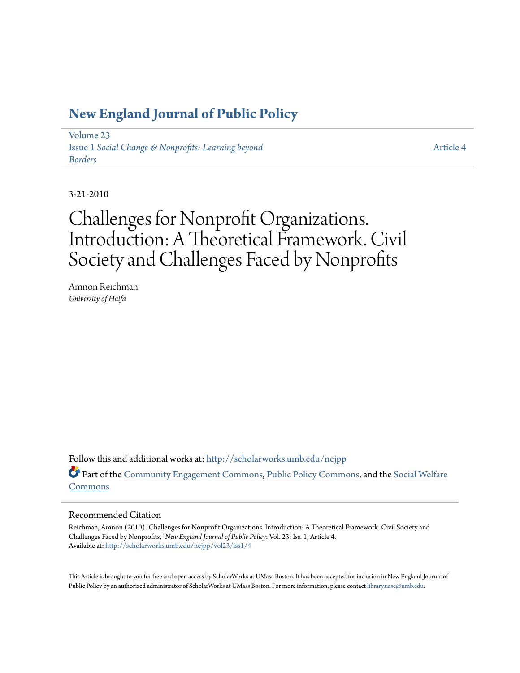### **[New England Journal of Public Policy](http://scholarworks.umb.edu/nejpp?utm_source=scholarworks.umb.edu%2Fnejpp%2Fvol23%2Fiss1%2F4&utm_medium=PDF&utm_campaign=PDFCoverPages)**

[Volume 23](http://scholarworks.umb.edu/nejpp/vol23?utm_source=scholarworks.umb.edu%2Fnejpp%2Fvol23%2Fiss1%2F4&utm_medium=PDF&utm_campaign=PDFCoverPages) Issue 1 *[Social Change & Nonprofits: Learning beyond](http://scholarworks.umb.edu/nejpp/vol23/iss1?utm_source=scholarworks.umb.edu%2Fnejpp%2Fvol23%2Fiss1%2F4&utm_medium=PDF&utm_campaign=PDFCoverPages) [Borders](http://scholarworks.umb.edu/nejpp/vol23/iss1?utm_source=scholarworks.umb.edu%2Fnejpp%2Fvol23%2Fiss1%2F4&utm_medium=PDF&utm_campaign=PDFCoverPages)*

[Article 4](http://scholarworks.umb.edu/nejpp/vol23/iss1/4?utm_source=scholarworks.umb.edu%2Fnejpp%2Fvol23%2Fiss1%2F4&utm_medium=PDF&utm_campaign=PDFCoverPages)

3-21-2010

# Challenges for Nonprofit Organizations. Introduction: A Theoretical Framework. Civil Society and Challenges Faced by Nonprofits

Amnon Reichman *University of Haifa*

Follow this and additional works at: [http://scholarworks.umb.edu/nejpp](http://scholarworks.umb.edu/nejpp?utm_source=scholarworks.umb.edu%2Fnejpp%2Fvol23%2Fiss1%2F4&utm_medium=PDF&utm_campaign=PDFCoverPages) Part of the [Community Engagement Commons](http://network.bepress.com/hgg/discipline/1028?utm_source=scholarworks.umb.edu%2Fnejpp%2Fvol23%2Fiss1%2F4&utm_medium=PDF&utm_campaign=PDFCoverPages), [Public Policy Commons](http://network.bepress.com/hgg/discipline/400?utm_source=scholarworks.umb.edu%2Fnejpp%2Fvol23%2Fiss1%2F4&utm_medium=PDF&utm_campaign=PDFCoverPages), and the [Social Welfare](http://network.bepress.com/hgg/discipline/401?utm_source=scholarworks.umb.edu%2Fnejpp%2Fvol23%2Fiss1%2F4&utm_medium=PDF&utm_campaign=PDFCoverPages) [Commons](http://network.bepress.com/hgg/discipline/401?utm_source=scholarworks.umb.edu%2Fnejpp%2Fvol23%2Fiss1%2F4&utm_medium=PDF&utm_campaign=PDFCoverPages)

#### Recommended Citation

Reichman, Amnon (2010) "Challenges for Nonprofit Organizations. Introduction: A Theoretical Framework. Civil Society and Challenges Faced by Nonprofits," *New England Journal of Public Policy*: Vol. 23: Iss. 1, Article 4. Available at: [http://scholarworks.umb.edu/nejpp/vol23/iss1/4](http://scholarworks.umb.edu/nejpp/vol23/iss1/4?utm_source=scholarworks.umb.edu%2Fnejpp%2Fvol23%2Fiss1%2F4&utm_medium=PDF&utm_campaign=PDFCoverPages)

This Article is brought to you for free and open access by ScholarWorks at UMass Boston. It has been accepted for inclusion in New England Journal of Public Policy by an authorized administrator of ScholarWorks at UMass Boston. For more information, please contact [library.uasc@umb.edu](mailto:library.uasc@umb.edu).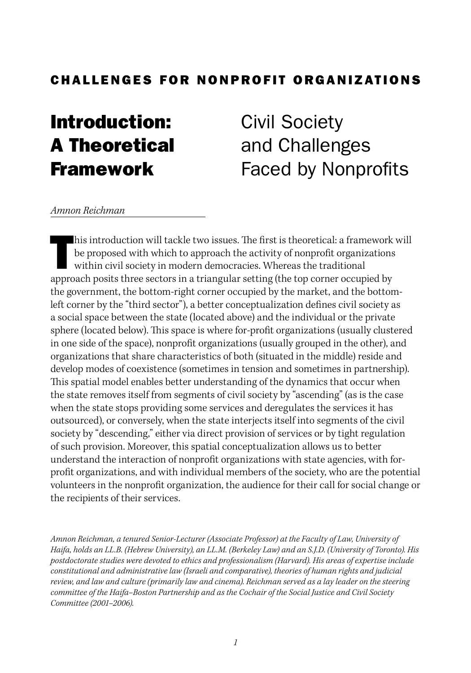### CHALLENGES FOR NONPROFIT ORGANIZATIONS

## Introduction: A Theoretical Framework

Civil Society and Challenges Faced by Nonprofits

#### *Amnon Reichman*

his introduction will tackle two issues. The first is theoretical: a framework be proposed with which to approach the activity of nonprofit organizations within civil society in modern democracies. Whereas the traditional his introduction will tackle two issues. The first is theoretical: a framework will be proposed with which to approach the activity of nonprofit organizations within civil society in modern democracies. Whereas the traditional the government, the bottom-right corner occupied by the market, and the bottomleft corner by the "third sector"), a better conceptualization defines civil society as a social space between the state (located above) and the individual or the private sphere (located below). This space is where for-profit organizations (usually clustered in one side of the space), nonprofit organizations (usually grouped in the other), and organizations that share characteristics of both (situated in the middle) reside and develop modes of coexistence (sometimes in tension and sometimes in partnership). This spatial model enables better understanding of the dynamics that occur when the state removes itself from segments of civil society by "ascending" (as is the case when the state stops providing some services and deregulates the services it has outsourced), or conversely, when the state interjects itself into segments of the civil society by "descending," either via direct provision of services or by tight regulation of such provision. Moreover, this spatial conceptualization allows us to better understand the interaction of nonprofit organizations with state agencies, with forprofit organizations, and with individual members of the society, who are the potential volunteers in the nonprofit organization, the audience for their call for social change or the recipients of their services.

*Amnon Reichman, a tenured Senior-Lecturer (Associate Professor) at the Faculty of Law, University of Haifa, holds an LL.B. (Hebrew University), an LL.M. (Berkeley Law) and an S.J.D. (University of Toronto). His postdoctorate studies were devoted to ethics and professionalism (Harvard). His areas of expertise include constitutional and administrative law (Israeli and comparative), theories of human rights and judicial review, and law and culture (primarily law and cinema). Reichman served as a lay leader on the steering committee of the Haifa–Boston Partnership and as the Cochair of the Social Justice and Civil Society Committee (2001–2006).*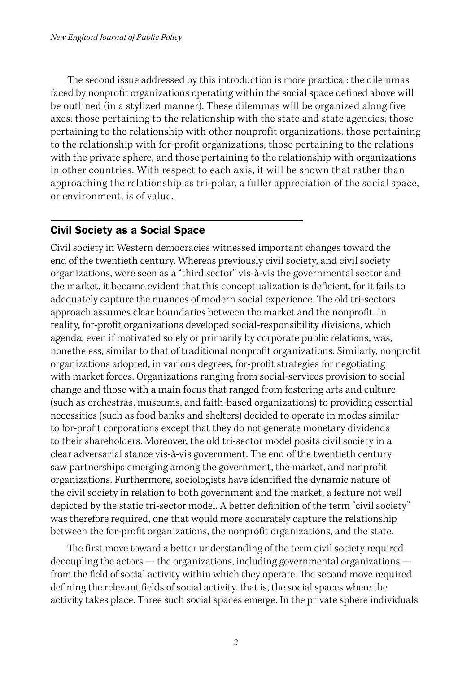The second issue addressed by this introduction is more practical: the dilemmas faced by nonprofit organizations operating within the social space defined above will be outlined (in a stylized manner). These dilemmas will be organized along five axes: those pertaining to the relationship with the state and state agencies; those pertaining to the relationship with other nonprofit organizations; those pertaining to the relationship with for-profit organizations; those pertaining to the relations with the private sphere; and those pertaining to the relationship with organizations in other countries. With respect to each axis, it will be shown that rather than approaching the relationship as tri-polar, a fuller appreciation of the social space, or environment, is of value.

### Civil Society as a Social Space

Civil society in Western democracies witnessed important changes toward the end of the twentieth century. Whereas previously civil society, and civil society organizations, were seen as a "third sector" vis-à-vis the governmental sector and the market, it became evident that this conceptualization is deficient, for it fails to adequately capture the nuances of modern social experience. The old tri-sectors approach assumes clear boundaries between the market and the nonprofit. In reality, for-profit organizations developed social-responsibility divisions, which agenda, even if motivated solely or primarily by corporate public relations, was, nonetheless, similar to that of traditional nonprofit organizations. Similarly, nonprofit organizations adopted, in various degrees, for-profit strategies for negotiating with market forces. Organizations ranging from social-services provision to social change and those with a main focus that ranged from fostering arts and culture (such as orchestras, museums, and faith-based organizations) to providing essential necessities (such as food banks and shelters) decided to operate in modes similar to for-profit corporations except that they do not generate monetary dividends to their shareholders. Moreover, the old tri-sector model posits civil society in a clear adversarial stance vis-à-vis government. The end of the twentieth century saw partnerships emerging among the government, the market, and nonprofit organizations. Furthermore, sociologists have identified the dynamic nature of the civil society in relation to both government and the market, a feature not well depicted by the static tri-sector model. A better definition of the term "civil society" was therefore required, one that would more accurately capture the relationship between the for-profit organizations, the nonprofit organizations, and the state.

The first move toward a better understanding of the term civil society required decoupling the actors — the organizations, including governmental organizations from the field of social activity within which they operate. The second move required defining the relevant fields of social activity, that is, the social spaces where the activity takes place. Three such social spaces emerge. In the private sphere individuals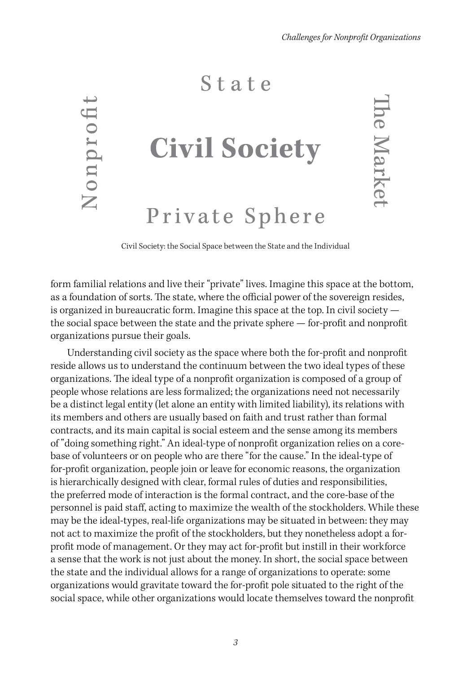### State

Nonprofit

# **Civil Society**

# Private Sphere

**The Market** 

Civil Society: the Social Space between the State and the Individual

form familial relations and live their "private" lives. Imagine this space at the bottom, as a foundation of sorts. The state, where the official power of the sovereign resides, is organized in bureaucratic form. Imagine this space at the top. In civil society the social space between the state and the private sphere — for-profit and nonprofit organizations pursue their goals.

Understanding civil society as the space where both the for-profit and nonprofit reside allows us to understand the continuum between the two ideal types of these organizations. The ideal type of a nonprofit organization is composed of a group of people whose relations are less formalized; the organizations need not necessarily be a distinct legal entity (let alone an entity with limited liability), its relations with its members and others are usually based on faith and trust rather than formal contracts, and its main capital is social esteem and the sense among its members of "doing something right." An ideal-type of nonprofit organization relies on a corebase of volunteers or on people who are there "for the cause." In the ideal-type of for-profit organization, people join or leave for economic reasons, the organization is hierarchically designed with clear, formal rules of duties and responsibilities, the preferred mode of interaction is the formal contract, and the core-base of the personnel is paid staff, acting to maximize the wealth of the stockholders. While these may be the ideal-types, real-life organizations may be situated in between: they may not act to maximize the profit of the stockholders, but they nonetheless adopt a forprofit mode of management. Or they may act for-profit but instill in their workforce a sense that the work is not just about the money. In short, the social space between the state and the individual allows for a range of organizations to operate: some organizations would gravitate toward the for-profit pole situated to the right of the social space, while other organizations would locate themselves toward the nonprofit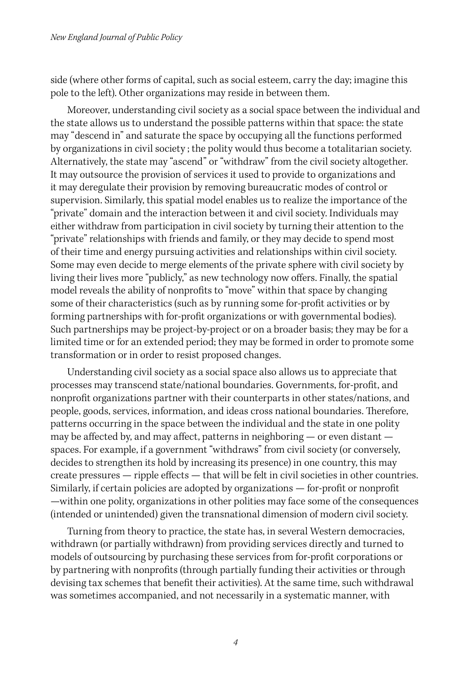side (where other forms of capital, such as social esteem, carry the day; imagine this pole to the left). Other organizations may reside in between them.

Moreover, understanding civil society as a social space between the individual and the state allows us to understand the possible patterns within that space: the state may "descend in" and saturate the space by occupying all the functions performed by organizations in civil society ; the polity would thus become a totalitarian society. Alternatively, the state may "ascend" or "withdraw" from the civil society altogether. It may outsource the provision of services it used to provide to organizations and it may deregulate their provision by removing bureaucratic modes of control or supervision. Similarly, this spatial model enables us to realize the importance of the "private" domain and the interaction between it and civil society. Individuals may either withdraw from participation in civil society by turning their attention to the "private" relationships with friends and family, or they may decide to spend most of their time and energy pursuing activities and relationships within civil society. Some may even decide to merge elements of the private sphere with civil society by living their lives more "publicly," as new technology now offers. Finally, the spatial model reveals the ability of nonprofits to "move" within that space by changing some of their characteristics (such as by running some for-profit activities or by forming partnerships with for-profit organizations or with governmental bodies). Such partnerships may be project-by-project or on a broader basis; they may be for a limited time or for an extended period; they may be formed in order to promote some transformation or in order to resist proposed changes.

Understanding civil society as a social space also allows us to appreciate that processes may transcend state/national boundaries. Governments, for-profit, and nonprofit organizations partner with their counterparts in other states/nations, and people, goods, services, information, and ideas cross national boundaries. Therefore, patterns occurring in the space between the individual and the state in one polity may be affected by, and may affect, patterns in neighboring — or even distant spaces. For example, if a government "withdraws" from civil society (or conversely, decides to strengthen its hold by increasing its presence) in one country, this may create pressures — ripple effects — that will be felt in civil societies in other countries. Similarly, if certain policies are adopted by organizations — for-profit or nonprofit —within one polity, organizations in other polities may face some of the consequences (intended or unintended) given the transnational dimension of modern civil society.

Turning from theory to practice, the state has, in several Western democracies, withdrawn (or partially withdrawn) from providing services directly and turned to models of outsourcing by purchasing these services from for-profit corporations or by partnering with nonprofits (through partially funding their activities or through devising tax schemes that benefit their activities). At the same time, such withdrawal was sometimes accompanied, and not necessarily in a systematic manner, with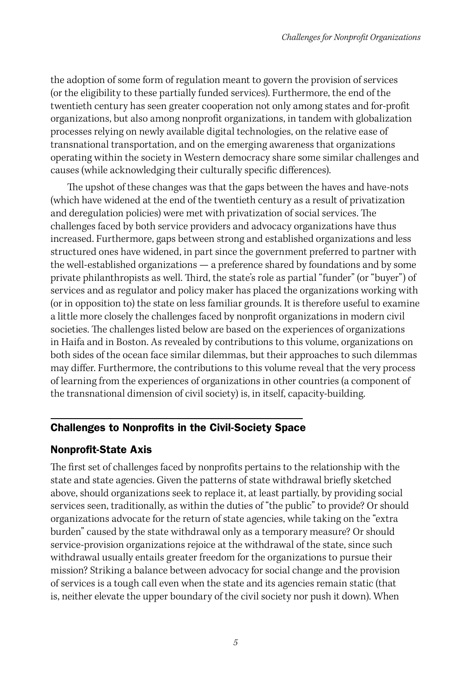the adoption of some form of regulation meant to govern the provision of services (or the eligibility to these partially funded services). Furthermore, the end of the twentieth century has seen greater cooperation not only among states and for-profit organizations, but also among nonprofit organizations, in tandem with globalization processes relying on newly available digital technologies, on the relative ease of transnational transportation, and on the emerging awareness that organizations operating within the society in Western democracy share some similar challenges and causes (while acknowledging their culturally specific differences).

The upshot of these changes was that the gaps between the haves and have-nots (which have widened at the end of the twentieth century as a result of privatization and deregulation policies) were met with privatization of social services. The challenges faced by both service providers and advocacy organizations have thus increased. Furthermore, gaps between strong and established organizations and less structured ones have widened, in part since the government preferred to partner with the well-established organizations — a preference shared by foundations and by some private philanthropists as well. Third, the state's role as partial "funder" (or "buyer") of services and as regulator and policy maker has placed the organizations working with (or in opposition to) the state on less familiar grounds. It is therefore useful to examine a little more closely the challenges faced by nonprofit organizations in modern civil societies. The challenges listed below are based on the experiences of organizations in Haifa and in Boston. As revealed by contributions to this volume, organizations on both sides of the ocean face similar dilemmas, but their approaches to such dilemmas may differ. Furthermore, the contributions to this volume reveal that the very process of learning from the experiences of organizations in other countries (a component of the transnational dimension of civil society) is, in itself, capacity-building.

### Challenges to Nonprofits in the Civil-Society Space

### Nonprofit-State Axis

The first set of challenges faced by nonprofits pertains to the relationship with the state and state agencies. Given the patterns of state withdrawal briefly sketched above, should organizations seek to replace it, at least partially, by providing social services seen, traditionally, as within the duties of "the public" to provide? Or should organizations advocate for the return of state agencies, while taking on the "extra burden" caused by the state withdrawal only as a temporary measure? Or should service-provision organizations rejoice at the withdrawal of the state, since such withdrawal usually entails greater freedom for the organizations to pursue their mission? Striking a balance between advocacy for social change and the provision of services is a tough call even when the state and its agencies remain static (that is, neither elevate the upper boundary of the civil society nor push it down). When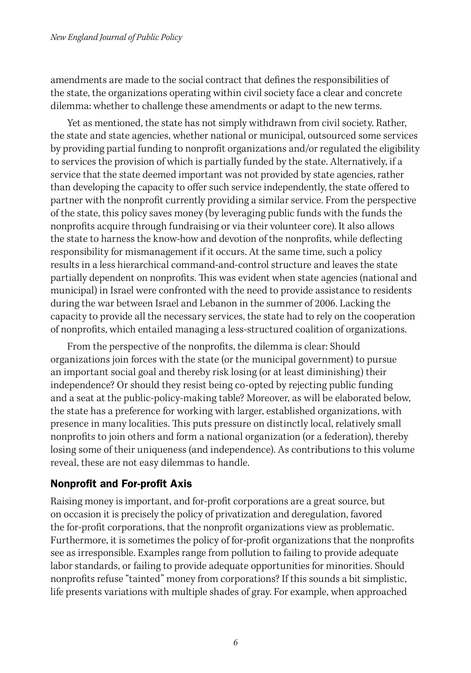amendments are made to the social contract that defines the responsibilities of the state, the organizations operating within civil society face a clear and concrete dilemma: whether to challenge these amendments or adapt to the new terms.

Yet as mentioned, the state has not simply withdrawn from civil society. Rather, the state and state agencies, whether national or municipal, outsourced some services by providing partial funding to nonprofit organizations and/or regulated the eligibility to services the provision of which is partially funded by the state. Alternatively, if a service that the state deemed important was not provided by state agencies, rather than developing the capacity to offer such service independently, the state offered to partner with the nonprofit currently providing a similar service. From the perspective of the state, this policy saves money (by leveraging public funds with the funds the nonprofits acquire through fundraising or via their volunteer core). It also allows the state to harness the know-how and devotion of the nonprofits, while deflecting responsibility for mismanagement if it occurs. At the same time, such a policy results in a less hierarchical command-and-control structure and leaves the state partially dependent on nonprofits. This was evident when state agencies (national and municipal) in Israel were confronted with the need to provide assistance to residents during the war between Israel and Lebanon in the summer of 2006. Lacking the capacity to provide all the necessary services, the state had to rely on the cooperation of nonprofits, which entailed managing a less-structured coalition of organizations.

From the perspective of the nonprofits, the dilemma is clear: Should organizations join forces with the state (or the municipal government) to pursue an important social goal and thereby risk losing (or at least diminishing) their independence? Or should they resist being co-opted by rejecting public funding and a seat at the public-policy-making table? Moreover, as will be elaborated below, the state has a preference for working with larger, established organizations, with presence in many localities. This puts pressure on distinctly local, relatively small nonprofits to join others and form a national organization (or a federation), thereby losing some of their uniqueness (and independence). As contributions to this volume reveal, these are not easy dilemmas to handle.

### Nonprofit and For-profit Axis

Raising money is important, and for-profit corporations are a great source, but on occasion it is precisely the policy of privatization and deregulation, favored the for-profit corporations, that the nonprofit organizations view as problematic. Furthermore, it is sometimes the policy of for-profit organizations that the nonprofits see as irresponsible. Examples range from pollution to failing to provide adequate labor standards, or failing to provide adequate opportunities for minorities. Should nonprofits refuse "tainted" money from corporations? If this sounds a bit simplistic, life presents variations with multiple shades of gray. For example, when approached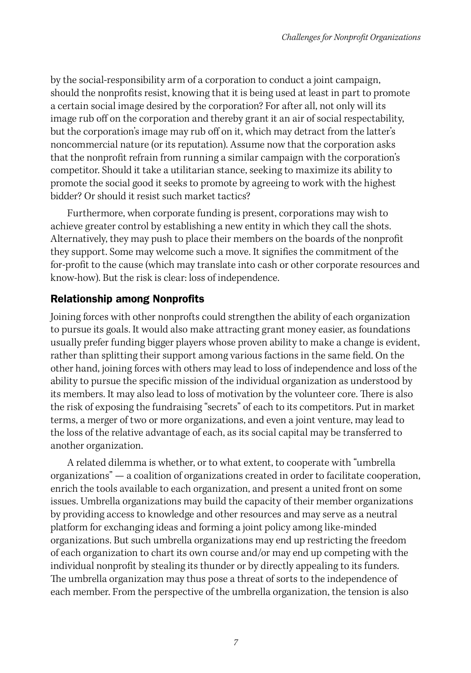by the social-responsibility arm of a corporation to conduct a joint campaign, should the nonprofits resist, knowing that it is being used at least in part to promote a certain social image desired by the corporation? For after all, not only will its image rub off on the corporation and thereby grant it an air of social respectability, but the corporation's image may rub off on it, which may detract from the latter's noncommercial nature (or its reputation). Assume now that the corporation asks that the nonprofit refrain from running a similar campaign with the corporation's competitor. Should it take a utilitarian stance, seeking to maximize its ability to promote the social good it seeks to promote by agreeing to work with the highest bidder? Or should it resist such market tactics?

Furthermore, when corporate funding is present, corporations may wish to achieve greater control by establishing a new entity in which they call the shots. Alternatively, they may push to place their members on the boards of the nonprofit they support. Some may welcome such a move. It signifies the commitment of the for-profit to the cause (which may translate into cash or other corporate resources and know-how). But the risk is clear: loss of independence.

### Relationship among Nonprofits

Joining forces with other nonprofts could strengthen the ability of each organization to pursue its goals. It would also make attracting grant money easier, as foundations usually prefer funding bigger players whose proven ability to make a change is evident, rather than splitting their support among various factions in the same field. On the other hand, joining forces with others may lead to loss of independence and loss of the ability to pursue the specific mission of the individual organization as understood by its members. It may also lead to loss of motivation by the volunteer core. There is also the risk of exposing the fundraising "secrets" of each to its competitors. Put in market terms, a merger of two or more organizations, and even a joint venture, may lead to the loss of the relative advantage of each, as its social capital may be transferred to another organization.

A related dilemma is whether, or to what extent, to cooperate with "umbrella organizations" — a coalition of organizations created in order to facilitate cooperation, enrich the tools available to each organization, and present a united front on some issues. Umbrella organizations may build the capacity of their member organizations by providing access to knowledge and other resources and may serve as a neutral platform for exchanging ideas and forming a joint policy among like-minded organizations. But such umbrella organizations may end up restricting the freedom of each organization to chart its own course and/or may end up competing with the individual nonprofit by stealing its thunder or by directly appealing to its funders. The umbrella organization may thus pose a threat of sorts to the independence of each member. From the perspective of the umbrella organization, the tension is also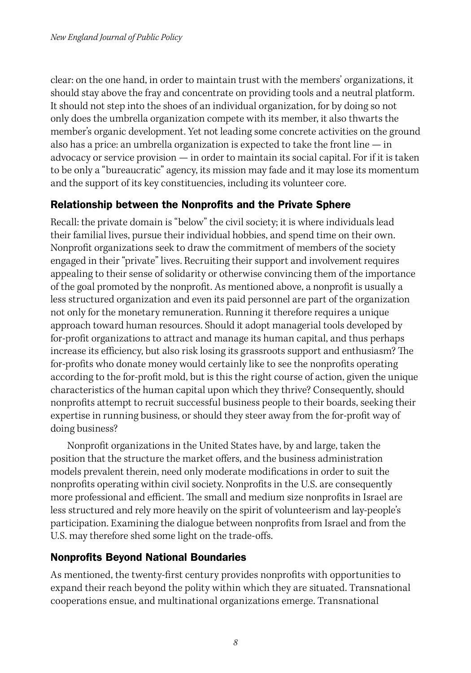clear: on the one hand, in order to maintain trust with the members' organizations, it should stay above the fray and concentrate on providing tools and a neutral platform. It should not step into the shoes of an individual organization, for by doing so not only does the umbrella organization compete with its member, it also thwarts the member's organic development. Yet not leading some concrete activities on the ground also has a price: an umbrella organization is expected to take the front line — in advocacy or service provision — in order to maintain its social capital. For if it is taken to be only a "bureaucratic" agency, its mission may fade and it may lose its momentum and the support of its key constituencies, including its volunteer core.

### Relationship between the Nonprofits and the Private Sphere

Recall: the private domain is "below" the civil society; it is where individuals lead their familial lives, pursue their individual hobbies, and spend time on their own. Nonprofit organizations seek to draw the commitment of members of the society engaged in their "private" lives. Recruiting their support and involvement requires appealing to their sense of solidarity or otherwise convincing them of the importance of the goal promoted by the nonprofit. As mentioned above, a nonprofit is usually a less structured organization and even its paid personnel are part of the organization not only for the monetary remuneration. Running it therefore requires a unique approach toward human resources. Should it adopt managerial tools developed by for-profit organizations to attract and manage its human capital, and thus perhaps increase its efficiency, but also risk losing its grassroots support and enthusiasm? The for-profits who donate money would certainly like to see the nonprofits operating according to the for-profit mold, but is this the right course of action, given the unique characteristics of the human capital upon which they thrive? Consequently, should nonprofits attempt to recruit successful business people to their boards, seeking their expertise in running business, or should they steer away from the for-profit way of doing business?

Nonprofit organizations in the United States have, by and large, taken the position that the structure the market offers, and the business administration models prevalent therein, need only moderate modifications in order to suit the nonprofits operating within civil society. Nonprofits in the U.S. are consequently more professional and efficient. The small and medium size nonprofits in Israel are less structured and rely more heavily on the spirit of volunteerism and lay-people's participation. Examining the dialogue between nonprofits from Israel and from the U.S. may therefore shed some light on the trade-offs.

### Nonprofits Beyond National Boundaries

As mentioned, the twenty-first century provides nonprofits with opportunities to expand their reach beyond the polity within which they are situated. Transnational cooperations ensue, and multinational organizations emerge. Transnational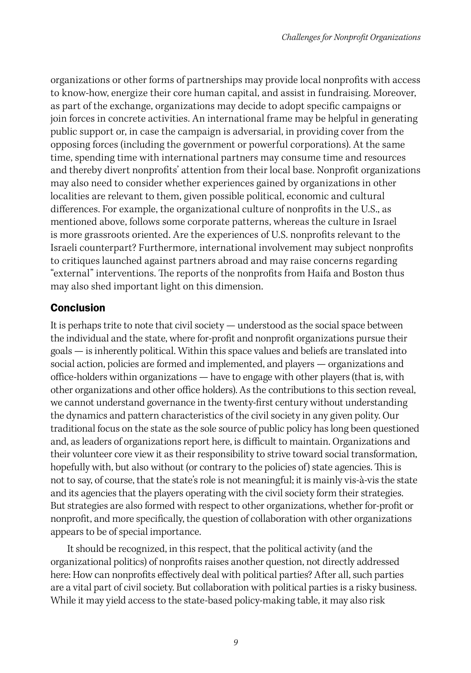organizations or other forms of partnerships may provide local nonprofits with access to know-how, energize their core human capital, and assist in fundraising. Moreover, as part of the exchange, organizations may decide to adopt specific campaigns or join forces in concrete activities. An international frame may be helpful in generating public support or, in case the campaign is adversarial, in providing cover from the opposing forces (including the government or powerful corporations). At the same time, spending time with international partners may consume time and resources and thereby divert nonprofits' attention from their local base. Nonprofit organizations may also need to consider whether experiences gained by organizations in other localities are relevant to them, given possible political, economic and cultural differences. For example, the organizational culture of nonprofits in the U.S., as mentioned above, follows some corporate patterns, whereas the culture in Israel is more grassroots oriented. Are the experiences of U.S. nonprofits relevant to the Israeli counterpart? Furthermore, international involvement may subject nonprofits to critiques launched against partners abroad and may raise concerns regarding "external" interventions. The reports of the nonprofits from Haifa and Boston thus may also shed important light on this dimension.

### Conclusion

It is perhaps trite to note that civil society — understood as the social space between the individual and the state, where for-profit and nonprofit organizations pursue their goals — is inherently political. Within this space values and beliefs are translated into social action, policies are formed and implemented, and players — organizations and office-holders within organizations — have to engage with other players (that is, with other organizations and other office holders). As the contributions to this section reveal, we cannot understand governance in the twenty-first century without understanding the dynamics and pattern characteristics of the civil society in any given polity. Our traditional focus on the state as the sole source of public policy has long been questioned and, as leaders of organizations report here, is difficult to maintain. Organizations and their volunteer core view it as their responsibility to strive toward social transformation, hopefully with, but also without (or contrary to the policies of) state agencies. This is not to say, of course, that the state's role is not meaningful; it is mainly vis-à-vis the state and its agencies that the players operating with the civil society form their strategies. But strategies are also formed with respect to other organizations, whether for-profit or nonprofit, and more specifically, the question of collaboration with other organizations appears to be of special importance.

It should be recognized, in this respect, that the political activity (and the organizational politics) of nonprofits raises another question, not directly addressed here: How can nonprofits effectively deal with political parties? After all, such parties are a vital part of civil society. But collaboration with political parties is a risky business. While it may yield access to the state-based policy-making table, it may also risk